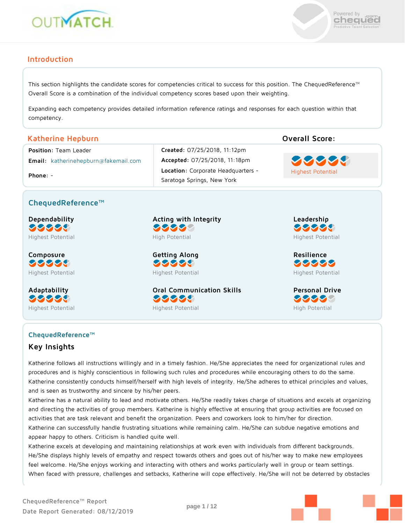



### **Introduction**

This section highlights the candidate scores for competencies critical to success for this position. The ChequedReference™ Overall Score is a combination of the individual competency scores based upon their weighting.

Expanding each competency provides detailed information reference ratings and responses for each question within that competency.

### **Katherine Hepburn Overall Score:**

**Email:** katherinehepburn@fakemail.com **Accepted:** 07/25/2018, 11:18pm

**Phone:** -

**Position:** Team Leader **Created:** 07/25/2018, 11:12pm **Location:** Corporate Headquarters - Saratoga Springs, New York



### **ChequedReference™**

**Dependability** 99999 Highest Potential

**Composure** 99999 Highest Potential

**Adaptability** 99999 Highest Potential **Acting with Integrity** 99999 High Potential

**Getting Along** 99999 Highest Potential

**Oral Communication Skills** 38888 Highest Potential

**Leadership** 99999 Highest Potential

**Resilience** 99999 Highest Potential

**Personal Drive** 33333 High Potential

# **ChequedReference™**

**Key Insights**

Katherine follows all instructions willingly and in a timely fashion. He/She appreciates the need for organizational rules and procedures and is highly conscientious in following such rules and procedures while encouraging others to do the same. Katherine consistently conducts himself/herself with high levels of integrity. He/She adheres to ethical principles and values, and is seen as trustworthy and sincere by his/her peers.

Katherine has a natural ability to lead and motivate others. He/She readily takes charge of situations and excels at organizing and directing the activities of group members. Katherine is highly effective at ensuring that group activities are focused on activities that are task relevant and benefit the organization. Peers and coworkers look to him/her for direction. Katherine can successfully handle frustrating situations while remaining calm. He/She can subdue negative emotions and appear happy to others. Criticism is handled quite well.

Katherine excels at developing and maintaining relationships at work even with individuals from different backgrounds. He/She displays highly levels of empathy and respect towards others and goes out of his/her way to make new employees feel welcome. He/She enjoys working and interacting with others and works particularly well in group or team settings. When faced with pressure, challenges and setbacks, Katherine will cope effectively. He/She will not be deterred by obstacles

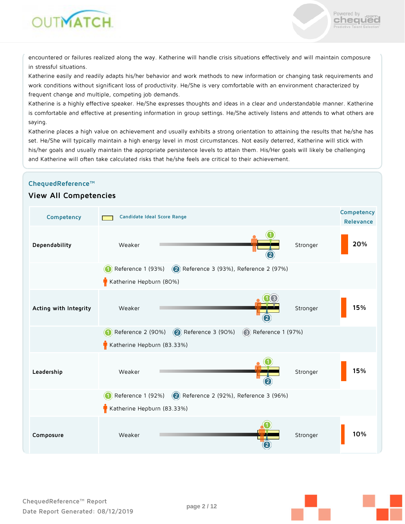



Powered by .com

chequed

Katherine easily and readily adapts his/her behavior and work methods to new information or changing task requirements and work conditions without significant loss of productivity. He/She is very comfortable with an environment characterized by frequent change and multiple, competing job demands.

Katherine is a highly effective speaker. He/She expresses thoughts and ideas in a clear and understandable manner. Katherine is comfortable and effective at presenting information in group settings. He/She actively listens and attends to what others are saying.

Katherine places a high value on achievement and usually exhibits a strong orientation to attaining the results that he/she has set. He/She will typically maintain a high energy level in most circumstances. Not easily deterred, Katherine will stick with his/her goals and usually maintain the appropriate persistence levels to attain them. His/Her goals will likely be challenging and Katherine will often take calculated risks that he/she feels are critical to their achievement.

#### **ChequedReference™**

### **View All Competencies**

| Competency            | Candidate Ideal Score Range                                                 | Competency<br>Relevance |
|-----------------------|-----------------------------------------------------------------------------|-------------------------|
| Dependability         | Stronger<br>Weaker                                                          | 20%                     |
|                       | Reference 1 (93%) 2 Reference 3 (93%), Reference 2 (97%)                    |                         |
|                       | Katherine Hepburn (80%)                                                     |                         |
| Acting with Integrity | Weaker<br>Stronger                                                          | 15%                     |
|                       | Reference 2 (90%) 2 Reference 3 (90%)<br>$\circled{3}$<br>Reference 1 (97%) |                         |
|                       | Katherine Hepburn (83.33%)                                                  |                         |
| Leadership            | Weaker<br>Stronger                                                          | 15%                     |
|                       | Reference 1 (92%) 2 Reference 2 (92%), Reference 3 (96%)                    |                         |
|                       | Katherine Hepburn (83.33%)                                                  |                         |
| Composure             | Weaker<br>Stronger                                                          | 10%                     |

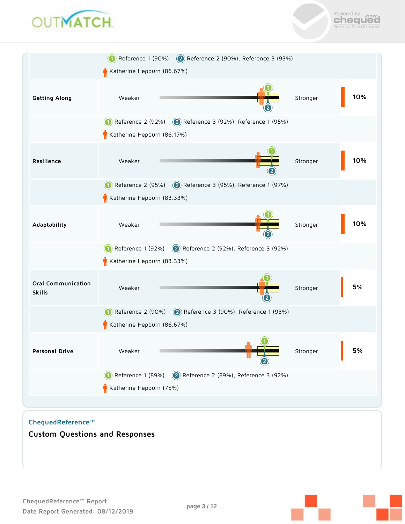



|                                            |                            | Reference 1 (90%) 2 Reference 2 (90%), Reference 3 (93%) |          |     |
|--------------------------------------------|----------------------------|----------------------------------------------------------|----------|-----|
|                                            | Katherine Hepburn (86.67%) |                                                          |          |     |
| Getting Along                              | Weaker                     |                                                          | Stronger | 10% |
|                                            | Reference 2 (92%)          | 2 Reference 3 (92%), Reference 1 (95%)                   |          |     |
|                                            | Katherine Hepburn (86.17%) |                                                          |          |     |
| Resilience                                 | Weaker                     |                                                          | Stronger | 10% |
|                                            | Reference 2 (95%)          | 2 Reference 3 (95%), Reference 1 (97%)                   |          |     |
|                                            | Katherine Hepburn (83.33%) |                                                          |          |     |
| Adaptability                               | Weaker                     |                                                          | Stronger | 10% |
|                                            |                            | Reference 1 (92%) 2 Reference 2 (92%), Reference 3 (92%) |          |     |
|                                            | Katherine Hepburn (83.33%) |                                                          |          |     |
| <b>Oral Communication</b><br><b>Skills</b> | Weaker                     |                                                          | Stronger | 5%  |
|                                            | Reference 2 (90%)          | 2 Reference 3 (90%), Reference 1 (93%)                   |          |     |
|                                            | Katherine Hepburn (86.67%) |                                                          |          |     |
| Personal Drive                             | Weaker                     |                                                          | Stronger | 5%  |
|                                            | Reference 1 (89%)          | $\circledcirc$<br>Reference 2 (89%), Reference 3 (92%)   |          |     |
|                                            | Katherine Hepburn (75%)    |                                                          |          |     |
|                                            |                            |                                                          |          |     |

**ChequedReference™**

**Custom Questions and Responses**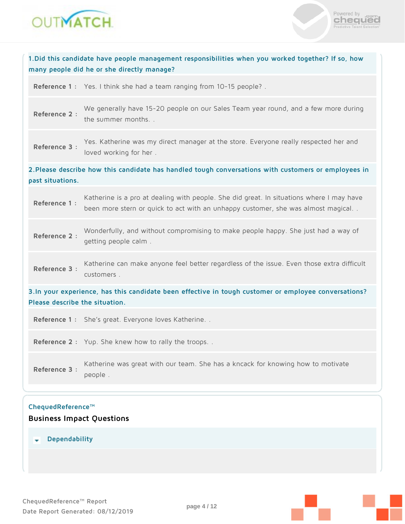



| 1. Did this candidate have people management responsibilities when you worked together? If so, how<br>many people did he or she directly manage? |                                                                                                                                                                              |  |
|--------------------------------------------------------------------------------------------------------------------------------------------------|------------------------------------------------------------------------------------------------------------------------------------------------------------------------------|--|
|                                                                                                                                                  | Reference 1: Yes. I think she had a team ranging from 10-15 people?.                                                                                                         |  |
| Reference 2:                                                                                                                                     | We generally have 15-20 people on our Sales Team year round, and a few more during<br>the summer months                                                                      |  |
| Reference 3 :                                                                                                                                    | Yes. Katherine was my direct manager at the store. Everyone really respected her and<br>loved working for her.                                                               |  |
| past situations.                                                                                                                                 | 2. Please describe how this candidate has handled tough conversations with customers or employees in                                                                         |  |
| Reference 1 :                                                                                                                                    | Katherine is a pro at dealing with people. She did great. In situations where I may have<br>been more stern or quick to act with an unhappy customer, she was almost magical |  |
| Reference 2 :                                                                                                                                    | Wonderfully, and without compromising to make people happy. She just had a way of<br>getting people calm.                                                                    |  |
| Reference 3 :                                                                                                                                    | Katherine can make anyone feel better regardless of the issue. Even those extra difficult<br>customers.                                                                      |  |
| Please describe the situation.                                                                                                                   | 3. In your experience, has this candidate been effective in tough customer or employee conversations?                                                                        |  |
|                                                                                                                                                  | Reference 1: She's great. Everyone loves Katherine                                                                                                                           |  |
|                                                                                                                                                  | Reference 2: Yup. She knew how to rally the troops                                                                                                                           |  |
| Reference 3 :                                                                                                                                    | Katherine was great with our team. She has a kncack for knowing how to motivate<br>people.                                                                                   |  |
| ChequedReference™<br><b>Business Impact Questions</b>                                                                                            |                                                                                                                                                                              |  |

 **Dependability**

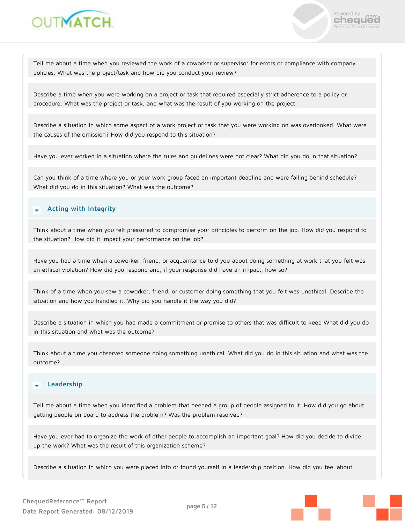



Tell me about a time when you reviewed the work of a coworker or supervisor for errors or compliance with company policies. What was the project/task and how did you conduct your review?

Describe a time when you were working on a project or task that required especially strict adherence to a policy or procedure. What was the project or task, and what was the result of you working on the project.

Describe a situation in which some aspect of a work project or task that you were working on was overlooked. What were the causes of the omission? How did you respond to this situation?

Have you ever worked in a situation where the rules and guidelines were not clear? What did you do in that situation?

Can you think of a time where you or your work group faced an important deadline and were falling behind schedule? What did you do in this situation? What was the outcome?

### **Acting with Integrity**

Think about a time when you felt pressured to compromise your principles to perform on the job. How did you respond to the situation? How did it impact your performance on the job?

Have you had a time when a coworker, friend, or acquaintance told you about doing something at work that you felt was an ethical violation? How did you respond and, if your response did have an impact, how so?

Think of a time when you saw a coworker, friend, or customer doing something that you felt was unethical. Describe the situation and how you handled it. Why did you handle it the way you did?

Describe a situation in which you had made a commitment or promise to others that was difficult to keep What did you do in this situation and what was the outcome?

Think about a time you observed someone doing something unethical. What did you do in this situation and what was the outcome?

### **Leadership**

Tell me about a time when you identified a problem that needed a group of people assigned to it. How did you go about getting people on board to address the problem? Was the problem resolved?

Have you ever had to organize the work of other people to accomplish an important goal? How did you decide to divide up the work? What was the result of this organization scheme?

Describe a situation in which you were placed into or found yourself in a leadership position. How did you feel about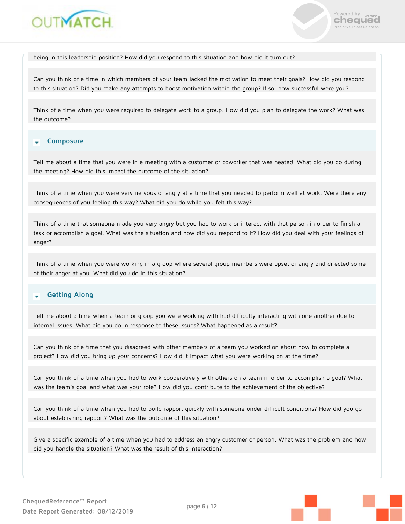



being in this leadership position? How did you respond to this situation and how did it turn out?

Can you think of a time in which members of your team lacked the motivation to meet their goals? How did you respond to this situation? Did you make any attempts to boost motivation within the group? If so, how successful were you?

Think of a time when you were required to delegate work to a group. How did you plan to delegate the work? What was the outcome?

#### **Composure**

Tell me about a time that you were in a meeting with a customer or coworker that was heated. What did you do during the meeting? How did this impact the outcome of the situation?

Think of a time when you were very nervous or angry at a time that you needed to perform well at work. Were there any consequences of you feeling this way? What did you do while you felt this way?

Think of a time that someone made you very angry but you had to work or interact with that person in order to finish a task or accomplish a goal. What was the situation and how did you respond to it? How did you deal with your feelings of anger?

Think of a time when you were working in a group where several group members were upset or angry and directed some of their anger at you. What did you do in this situation?

#### **Getting Along** ÷

Tell me about a time when a team or group you were working with had difficulty interacting with one another due to internal issues. What did you do in response to these issues? What happened as a result?

Can you think of a time that you disagreed with other members of a team you worked on about how to complete a project? How did you bring up your concerns? How did it impact what you were working on at the time?

Can you think of a time when you had to work cooperatively with others on a team in order to accomplish a goal? What was the team's goal and what was your role? How did you contribute to the achievement of the objective?

Can you think of a time when you had to build rapport quickly with someone under difficult conditions? How did you go about establishing rapport? What was the outcome of this situation?

Give a specific example of a time when you had to address an angry customer or person. What was the problem and how did you handle the situation? What was the result of this interaction?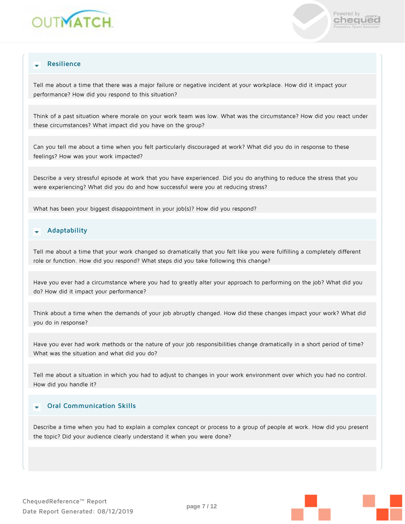



### **Resilience**

Tell me about a time that there was a major failure or negative incident at your workplace. How did it impact your performance? How did you respond to this situation?

Think of a past situation where morale on your work team was low. What was the circumstance? How did you react under these circumstances? What impact did you have on the group?

Can you tell me about a time when you felt particularly discouraged at work? What did you do in response to these feelings? How was your work impacted?

Describe a very stressful episode at work that you have experienced. Did you do anything to reduce the stress that you were experiencing? What did you do and how successful were you at reducing stress?

What has been your biggest disappointment in your job(s)? How did you respond?

#### **Adaptability** ٠

Tell me about a time that your work changed so dramatically that you felt like you were fulfilling a completely different role or function. How did you respond? What steps did you take following this change?

Have you ever had a circumstance where you had to greatly alter your approach to performing on the job? What did you do? How did it impact your performance?

Think about a time when the demands of your job abruptly changed. How did these changes impact your work? What did you do in response?

Have you ever had work methods or the nature of your job responsibilities change dramatically in a short period of time? What was the situation and what did you do?

Tell me about a situation in which you had to adjust to changes in your work environment over which you had no control. How did you handle it?

### **Oral Communication Skills**

Describe a time when you had to explain a complex concept or process to a group of people at work. How did you present the topic? Did your audience clearly understand it when you were done?

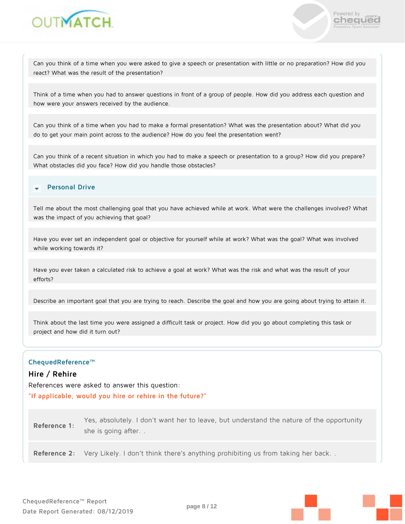



Can you think of a time when you were asked to give a speech or presentation with little or no preparation? How did you react? What was the result of the presentation?

Think of a time when you had to answer questions in front of a group of people. How did you address each question and how were your answers received by the audience.

Can you think of a time when you had to make a formal presentation? What was the presentation about? What did you do to get your main point across to the audience? How do you feel the presentation went?

Can you think of a recent situation in which you had to make a speech or presentation to a group? How did you prepare? What obstacles did you face? How did you handle those obstacles?

### **Personal Drive**

Tell me about the most challenging goal that you have achieved while at work. What were the challenges involved? What was the impact of you achieving that goal?

Have you ever set an independent goal or objective for yourself while at work? What was the goal? What was involved while working towards it?

Have you ever taken a calculated risk to achieve a goal at work? What was the risk and what was the result of your efforts?

Describe an important goal that you are trying to reach. Describe the goal and how you are going about trying to attain it.

Think about the last time you were assigned a difficult task or project. How did you go about completing this task or project and how did it turn out?

### **ChequedReference™**

### **Hire / Rehire**

References were asked to answer this question:

**"If applicable, would you hire or rehire in the future?"**

| Reference 1: | Yes, absolutely. I don't want her to leave, but understand the nature of the opportunity |
|--------------|------------------------------------------------------------------------------------------|
|              | she is going after                                                                       |

**Reference 2:** Very Likely. I don't think there's anything prohibiting us from taking her back. .

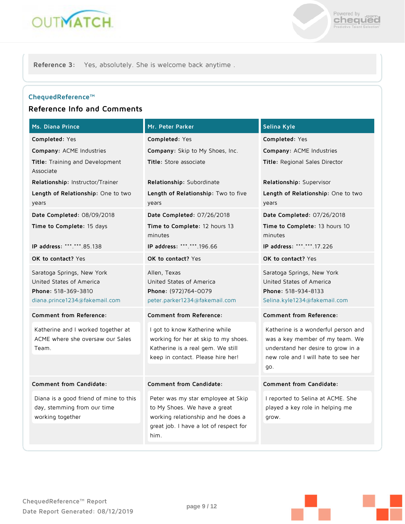



**Reference 3:** Yes, absolutely. She is welcome back anytime .

### **ChequedReference™**

## **Reference Info and Comments**

| Ms. Diana Prince                                                                                               | Mr. Peter Parker                                                                                                                                           | Selina Kyle                                                                                                                                                |
|----------------------------------------------------------------------------------------------------------------|------------------------------------------------------------------------------------------------------------------------------------------------------------|------------------------------------------------------------------------------------------------------------------------------------------------------------|
| Completed: Yes                                                                                                 | Completed: Yes                                                                                                                                             | <b>Completed:</b> Yes                                                                                                                                      |
| Company: ACME Industries                                                                                       | Company: Skip to My Shoes, Inc.                                                                                                                            | Company: ACME Industries                                                                                                                                   |
| Title: Training and Development<br>Associate                                                                   | Title: Store associate                                                                                                                                     | Title: Regional Sales Director                                                                                                                             |
| <b>Relationship:</b> Instructor/Trainer                                                                        | Relationship: Subordinate                                                                                                                                  | <b>Relationship</b> : Supervisor                                                                                                                           |
| Length of Relationship: One to two<br>years                                                                    | Length of Relationship: Two to five<br>years                                                                                                               | <b>Length of Relationship</b> : One to two<br>years                                                                                                        |
| Date Completed: 08/09/2018                                                                                     | Date Completed: 07/26/2018                                                                                                                                 | <b>Date Completed:</b> 07/26/2018                                                                                                                          |
| Time to Complete: 15 days                                                                                      | Time to Complete: 12 hours 13<br>minutes                                                                                                                   | Time to Complete: 13 hours 10<br>minutes                                                                                                                   |
| IP address: ***.***.85.138                                                                                     | IP address: *** *** 196.66                                                                                                                                 | IP address: *** *** 17.226                                                                                                                                 |
| OK to contact? Yes                                                                                             | OK to contact? Yes                                                                                                                                         | OK to contact? Yes                                                                                                                                         |
| Saratoga Springs, New York<br>United States of America<br>Phone: 518-369-3810<br>diana.prince1234@fakemail.com | Allen, Texas<br>United States of America<br>Phone: (972)764-0079<br>peter.parker1234@fakemail.com                                                          | Saratoga Springs, New York<br>United States of America<br>Phone: 518-934-8133<br>Selina.kyle1234@fakemail.com                                              |
| <b>Comment from Reference:</b>                                                                                 | <b>Comment from Reference:</b>                                                                                                                             | <b>Comment from Reference:</b>                                                                                                                             |
| Katherine and I worked together at<br>ACME where she oversaw our Sales<br>Team.                                | I got to know Katherine while<br>working for her at skip to my shoes.<br>Katherine is a real gem. We still<br>keep in contact. Please hire her!            | Katherine is a wonderful person and<br>was a key member of my team. We<br>understand her desire to grow in a<br>new role and I will hate to see her<br>go. |
|                                                                                                                |                                                                                                                                                            |                                                                                                                                                            |
| Comment from Candidate:                                                                                        | Comment from Candidate:                                                                                                                                    | Comment from Candidate:                                                                                                                                    |
| Diana is a good friend of mine to this<br>day, stemming from our time<br>working together                      | Peter was my star employee at Skip<br>to My Shoes. We have a great<br>working relationship and he does a<br>great job. I have a lot of respect for<br>him. | I reported to Selina at ACME. She<br>played a key role in helping me<br>grow.                                                                              |

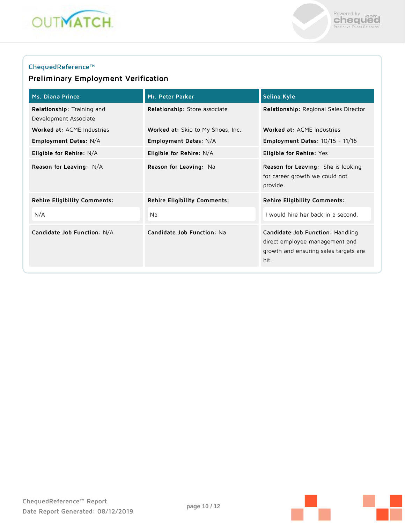



### **ChequedReference™**

## **Preliminary Employment Verification**

| <b>Ms. Diana Prince</b>                             | Mr. Peter Parker                    | Selina Kyle                                                                                                         |
|-----------------------------------------------------|-------------------------------------|---------------------------------------------------------------------------------------------------------------------|
| Relationship: Training and<br>Development Associate | Relationship: Store associate       | Relationship: Regional Sales Director                                                                               |
| Worked at: ACME Industries                          | Worked at: Skip to My Shoes, Inc.   | Worked at: ACME Industries                                                                                          |
| Employment Dates: N/A                               | Employment Dates: N/A               | <b>Employment Dates: 10/15 - 11/16</b>                                                                              |
| Eligible for Rehire: N/A                            | Eligible for Rehire: N/A            | Eligible for Rehire: Yes                                                                                            |
| Reason for Leaving: N/A                             | Reason for Leaving: Na              | Reason for Leaving: She is looking<br>for career growth we could not<br>provide.                                    |
| Rehire Eligibility Comments:                        | <b>Rehire Eligibility Comments:</b> | <b>Rehire Eligibility Comments:</b>                                                                                 |
| N/A                                                 | Na                                  | I would hire her back in a second.                                                                                  |
| Candidate Job Function: N/A                         | Candidate Job Function: Na          | Candidate Job Function: Handling<br>direct employee management and<br>growth and ensuring sales targets are<br>hit. |

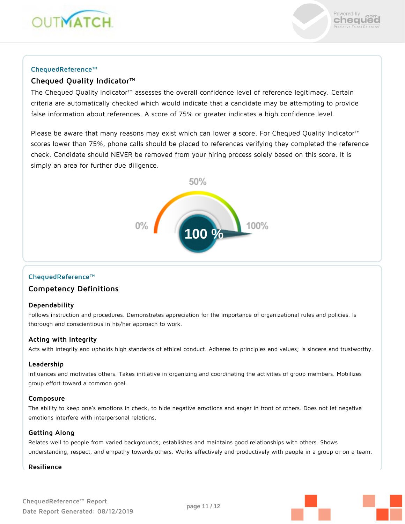



### **ChequedReference™**

### **Chequed Quality Indicator™**

The Chequed Quality Indicator™ assesses the overall confidence level of reference legitimacy. Certain criteria are automatically checked which would indicate that a candidate may be attempting to provide false information about references. A score of 75% or greater indicates a high confidence level.

Please be aware that many reasons may exist which can lower a score. For Chequed Quality Indicator™ scores lower than 75%, phone calls should be placed to references verifying they completed the reference check. Candidate should NEVER be removed from your hiring process solely based on this score. It is simply an area for further due diligence.



### **ChequedReference™**

### **Competency Definitions**

### **Dependability**

Follows instruction and procedures. Demonstrates appreciation for the importance of organizational rules and policies. Is thorough and conscientious in his/her approach to work.

### **Acting with Integrity**

Acts with integrity and upholds high standards of ethical conduct. Adheres to principles and values; is sincere and trustworthy.

### **Leadership**

Influences and motivates others. Takes initiative in organizing and coordinating the activities of group members. Mobilizes group effort toward a common goal.

### **Composure**

The ability to keep one's emotions in check, to hide negative emotions and anger in front of others. Does not let negative emotions interfere with interpersonal relations.

### **Getting Along**

Relates well to people from varied backgrounds; establishes and maintains good relationships with others. Shows understanding, respect, and empathy towards others. Works effectively and productively with people in a group or on a team.

### **Resilience**